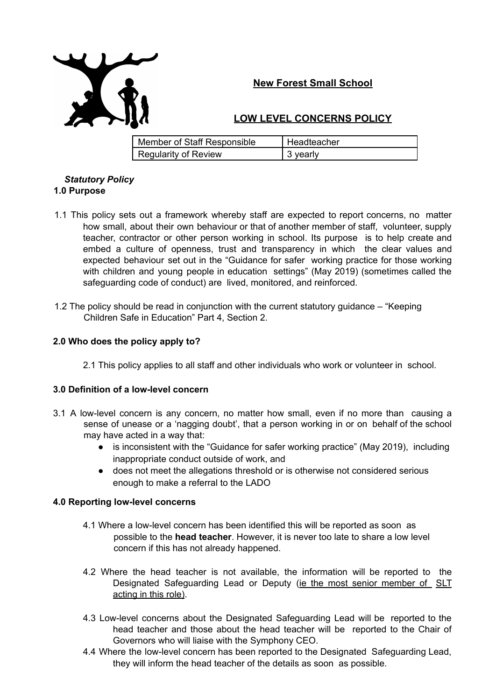

# **New Forest Small School**

## **LOW LEVEL CONCERNS POLICY**

| Member of Staff Responsible | <b>Headteacher</b> |
|-----------------------------|--------------------|
| <b>Regularity of Review</b> | , 3 yearly         |

#### *Statutory Policy* **1.0 Purpose**

- 1.1 This policy sets out a framework whereby staff are expected to report concerns, no matter how small, about their own behaviour or that of another member of staff, volunteer, supply teacher, contractor or other person working in school. Its purpose is to help create and embed a culture of openness, trust and transparency in which the clear values and expected behaviour set out in the "Guidance for safer working practice for those working with children and young people in education settings" (May 2019) (sometimes called the safeguarding code of conduct) are lived, monitored, and reinforced.
- 1.2 The policy should be read in conjunction with the current statutory guidance "Keeping Children Safe in Education" Part 4, Section 2.

## **2.0 Who does the policy apply to?**

2.1 This policy applies to all staff and other individuals who work or volunteer in school.

## **3.0 Definition of a low-level concern**

- 3.1 A low-level concern is any concern, no matter how small, even if no more than causing a sense of unease or a 'nagging doubt', that a person working in or on behalf of the school may have acted in a way that:
	- is inconsistent with the "Guidance for safer working practice" (May 2019), including inappropriate conduct outside of work, and
	- does not meet the allegations threshold or is otherwise not considered serious enough to make a referral to the LADO

## **4.0 Reporting low-level concerns**

- 4.1 Where a low-level concern has been identified this will be reported as soon as possible to the **head teacher**. However, it is never too late to share a low level concern if this has not already happened.
- 4.2 Where the head teacher is not available, the information will be reported to the Designated Safeguarding Lead or Deputy (ie the most senior member of SLT acting in this role).
- 4.3 Low-level concerns about the Designated Safeguarding Lead will be reported to the head teacher and those about the head teacher will be reported to the Chair of Governors who will liaise with the Symphony CEO.
- 4.4 Where the low-level concern has been reported to the Designated Safeguarding Lead, they will inform the head teacher of the details as soon as possible.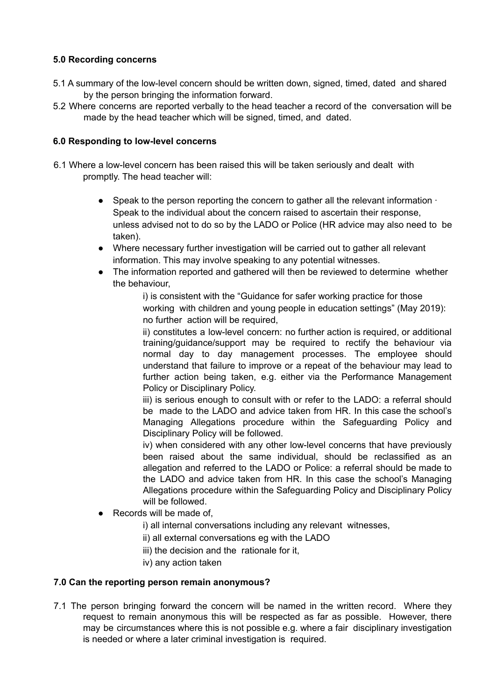## **5.0 Recording concerns**

- 5.1 A summary of the low-level concern should be written down, signed, timed, dated and shared by the person bringing the information forward.
- 5.2 Where concerns are reported verbally to the head teacher a record of the conversation will be made by the head teacher which will be signed, timed, and dated.

## **6.0 Responding to low-level concerns**

- 6.1 Where a low-level concern has been raised this will be taken seriously and dealt with promptly. The head teacher will:
	- Speak to the person reporting the concern to gather all the relevant information  $\cdot$ Speak to the individual about the concern raised to ascertain their response, unless advised not to do so by the LADO or Police (HR advice may also need to be taken).
	- Where necessary further investigation will be carried out to gather all relevant information. This may involve speaking to any potential witnesses.
	- The information reported and gathered will then be reviewed to determine whether the behaviour,

i) is consistent with the "Guidance for safer working practice for those working with children and young people in education settings" (May 2019): no further action will be required,

ii) constitutes a low-level concern: no further action is required, or additional training/guidance/support may be required to rectify the behaviour via normal day to day management processes. The employee should understand that failure to improve or a repeat of the behaviour may lead to further action being taken, e.g. either via the Performance Management Policy or Disciplinary Policy.

iii) is serious enough to consult with or refer to the LADO: a referral should be made to the LADO and advice taken from HR. In this case the school's Managing Allegations procedure within the Safeguarding Policy and Disciplinary Policy will be followed.

iv) when considered with any other low-level concerns that have previously been raised about the same individual, should be reclassified as an allegation and referred to the LADO or Police: a referral should be made to the LADO and advice taken from HR. In this case the school's Managing Allegations procedure within the Safeguarding Policy and Disciplinary Policy will be followed.

- Records will be made of,
	- i) all internal conversations including any relevant witnesses,
	- ii) all external conversations eg with the LADO
	- iii) the decision and the rationale for it,
	- iv) any action taken

## **7.0 Can the reporting person remain anonymous?**

7.1 The person bringing forward the concern will be named in the written record. Where they request to remain anonymous this will be respected as far as possible. However, there may be circumstances where this is not possible e.g. where a fair disciplinary investigation is needed or where a later criminal investigation is required.